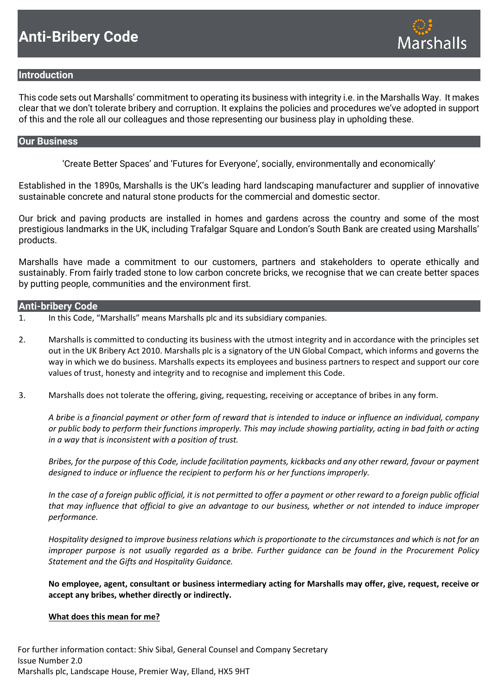

# **Introduction**

This code sets out Marshalls' commitment to operating its business with integrity i.e. in the Marshalls Way. It makes clear that we don't tolerate bribery and corruption. It explains the policies and procedures we've adopted in support of this and the role all our colleagues and those representing our business play in upholding these.

## **Our Business**

'Create Better Spaces' and 'Futures for Everyone', socially, environmentally and economically'

Established in the 1890s, Marshalls is the UK's leading hard landscaping manufacturer and supplier of innovative sustainable concrete and natural stone products for the commercial and domestic sector.

Our brick and paving products are installed in homes and gardens across the country and some of the most prestigious landmarks in the UK, including Trafalgar Square and London's South Bank are created using Marshalls' products.

Marshalls have made a commitment to our customers, partners and stakeholders to operate ethically and sustainably. From fairly traded stone to low carbon concrete bricks, we recognise that we can create better spaces by putting people, communities and the environment first.

## **Anti-bribery Code**

- 1. In this Code, "Marshalls" means Marshalls plc and its subsidiary companies.
- 2. Marshalls is committed to conducting its business with the utmost integrity and in accordance with the principles set out in the UK Bribery Act 2010. Marshalls plc is a signatory of the UN Global Compact, which informs and governs the way in which we do business. Marshalls expects its employees and business partners to respect and support our core values of trust, honesty and integrity and to recognise and implement this Code.
- 3. Marshalls does not tolerate the offering, giving, requesting, receiving or acceptance of bribes in any form.

*A bribe is a financial payment or other form of reward that is intended to induce or influence an individual, company or public body to perform their functions improperly. This may include showing partiality, acting in bad faith or acting in a way that is inconsistent with a position of trust.*

*Bribes, for the purpose of this Code, include facilitation payments, kickbacks and any other reward, favour or payment designed to induce or influence the recipient to perform his or her functions improperly.* 

*In the case of a foreign public official, it is not permitted to offer a payment or other reward to a foreign public official that may influence that official to give an advantage to our business, whether or not intended to induce improper performance.* 

*Hospitality designed to improve business relations which is proportionate to the circumstances and which is not for an improper purpose is not usually regarded as a bribe. Further guidance can be found in the Procurement Policy Statement and the Gifts and Hospitality Guidance.*

**No employee, agent, consultant or business intermediary acting for Marshalls may offer, give, request, receive or accept any bribes, whether directly or indirectly.**

#### **What does this mean for me?**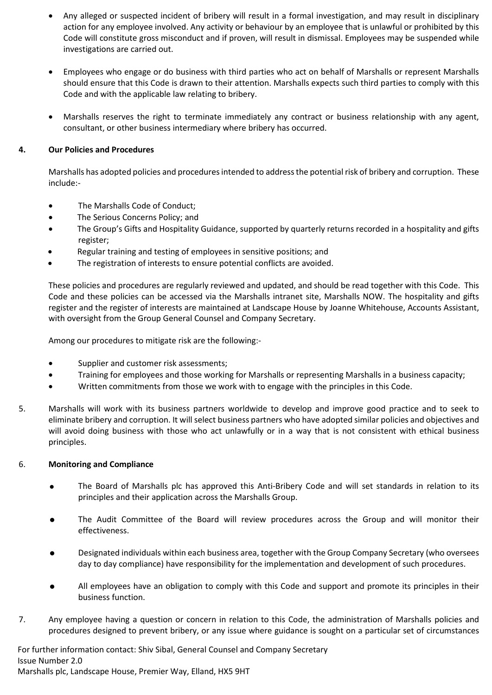- Any alleged or suspected incident of bribery will result in a formal investigation, and may result in disciplinary action for any employee involved. Any activity or behaviour by an employee that is unlawful or prohibited by this Code will constitute gross misconduct and if proven, will result in dismissal. Employees may be suspended while investigations are carried out.
- Employees who engage or do business with third parties who act on behalf of Marshalls or represent Marshalls should ensure that this Code is drawn to their attention. Marshalls expects such third parties to comply with this Code and with the applicable law relating to bribery.
- Marshalls reserves the right to terminate immediately any contract or business relationship with any agent, consultant, or other business intermediary where bribery has occurred.

# **4. Our Policies and Procedures**

Marshalls has adopted policies and procedures intended to address the potential risk of bribery and corruption. These include:-

- The Marshalls Code of Conduct;
- The Serious Concerns Policy; and
- The Group's Gifts and Hospitality Guidance, supported by quarterly returns recorded in a hospitality and gifts register;
- Regular training and testing of employees in sensitive positions; and
- The registration of interests to ensure potential conflicts are avoided.

These policies and procedures are regularly reviewed and updated, and should be read together with this Code. This Code and these policies can be accessed via the Marshalls intranet site, Marshalls NOW. The hospitality and gifts register and the register of interests are maintained at Landscape House by Joanne Whitehouse, Accounts Assistant, with oversight from the Group General Counsel and Company Secretary.

Among our procedures to mitigate risk are the following:-

- Supplier and customer risk assessments;
- Training for employees and those working for Marshalls or representing Marshalls in a business capacity;
- Written commitments from those we work with to engage with the principles in this Code.
- 5. Marshalls will work with its business partners worldwide to develop and improve good practice and to seek to eliminate bribery and corruption. It will select business partners who have adopted similar policies and objectives and will avoid doing business with those who act unlawfully or in a way that is not consistent with ethical business principles.

#### 6. **Monitoring and Compliance**

- The Board of Marshalls plc has approved this Anti-Bribery Code and will set standards in relation to its principles and their application across the Marshalls Group.
- The Audit Committee of the Board will review procedures across the Group and will monitor their effectiveness.
- Designated individuals within each business area, together with the Group Company Secretary (who oversees day to day compliance) have responsibility for the implementation and development of such procedures.
- All employees have an obligation to comply with this Code and support and promote its principles in their business function.
- 7. Any employee having a question or concern in relation to this Code, the administration of Marshalls policies and procedures designed to prevent bribery, or any issue where guidance is sought on a particular set of circumstances

For further information contact: Shiv Sibal, General Counsel and Company Secretary Issue Number 2.0 Marshalls plc, Landscape House, Premier Way, Elland, HX5 9HT